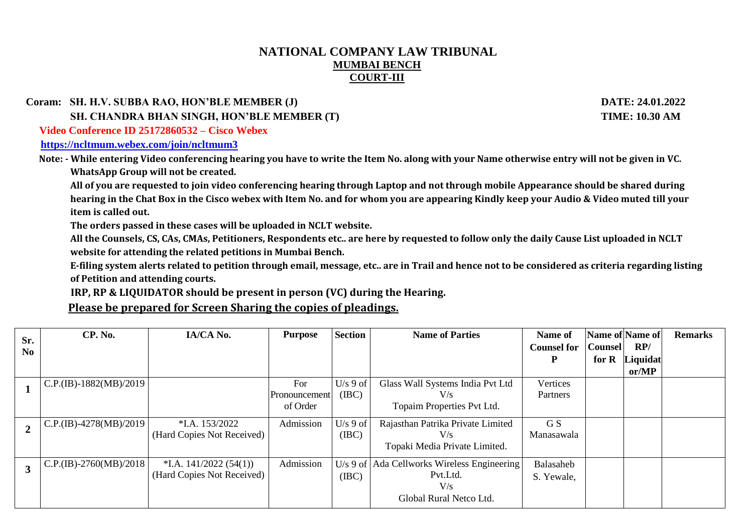## **NATIONAL COMPANY LAW TRIBUNAL MUMBAI BENCH COURT-III**

 **Coram: SH. H.V. SUBBA RAO, HON'BLE MEMBER (J) DATE: 24.01.2022**

 **SH. CHANDRA BHAN SINGH, HON'BLE MEMBER (T) TIME: 10.30 AM**

 **Video Conference ID 25172860532 – Cisco Webex** 

**<https://ncltmum.webex.com/join/ncltmum3>**

 **Note: - While entering Video conferencing hearing you have to write the Item No. along with your Name otherwise entry will not be given in VC. WhatsApp Group will not be created.**

 **All of you are requested to join video conferencing hearing through Laptop and not through mobile Appearance should be shared during hearing in the Chat Box in the Cisco webex with Item No. and for whom you are appearing Kindly keep your Audio & Video muted till your item is called out.**

**The orders passed in these cases will be uploaded in NCLT website.**

**All the Counsels, CS, CAs, CMAs, Petitioners, Respondents etc.. are here by requested to follow only the daily Cause List uploaded in NCLT website for attending the related petitions in Mumbai Bench.**

**E-filing system alerts related to petition through email, message, etc.. are in Trail and hence not to be considered as criteria regarding listing of Petition and attending courts.**

 **IRP, RP & LIQUIDATOR should be present in person (VC) during the Hearing.**

**Please be prepared for Screen Sharing the copies of pleadings.**

| Sr.            | CP. No.                    | IA/CA No.                  | <b>Purpose</b> | <b>Section</b> | <b>Name of Parties</b>                        | Name of            | Name of Name of |          | <b>Remarks</b> |
|----------------|----------------------------|----------------------------|----------------|----------------|-----------------------------------------------|--------------------|-----------------|----------|----------------|
| N <sub>0</sub> |                            |                            |                |                |                                               | <b>Counsel for</b> | <b>Counsel</b>  | RP/      |                |
|                |                            |                            |                |                |                                               |                    | for $R$         | Liquidat |                |
|                |                            |                            |                |                |                                               |                    |                 | or/MP    |                |
|                | $C.P.(IB)-1882(MB)/2019$   |                            | For            | $U/s$ 9 of     | Glass Wall Systems India Pvt Ltd              | Vertices           |                 |          |                |
|                |                            |                            | Pronouncement  | (IBC)          | V/s                                           | Partners           |                 |          |                |
|                |                            |                            | of Order       |                | Topaim Properties Pvt Ltd.                    |                    |                 |          |                |
|                | $C.P.(IB) - 4278(MB)/2019$ | $*LA$ , 153/2022           | Admission      | $U/s$ 9 of     | Rajasthan Patrika Private Limited             | G S                |                 |          |                |
|                |                            | (Hard Copies Not Received) |                | (IBC)          | V/s                                           | Manasawala         |                 |          |                |
|                |                            |                            |                |                | Topaki Media Private Limited.                 |                    |                 |          |                |
| 3              | $C.P.(IB)-2760(MB)/2018$   | $*$ I.A. 141/2022 (54(1))  | Admission      |                | $U/s$ 9 of Ada Cellworks Wireless Engineering | Balasaheb          |                 |          |                |
|                |                            | (Hard Copies Not Received) |                | (IBC)          | Pvt.Ltd.                                      | S. Yewale,         |                 |          |                |
|                |                            |                            |                |                | V/s                                           |                    |                 |          |                |
|                |                            |                            |                |                | Global Rural Netco Ltd.                       |                    |                 |          |                |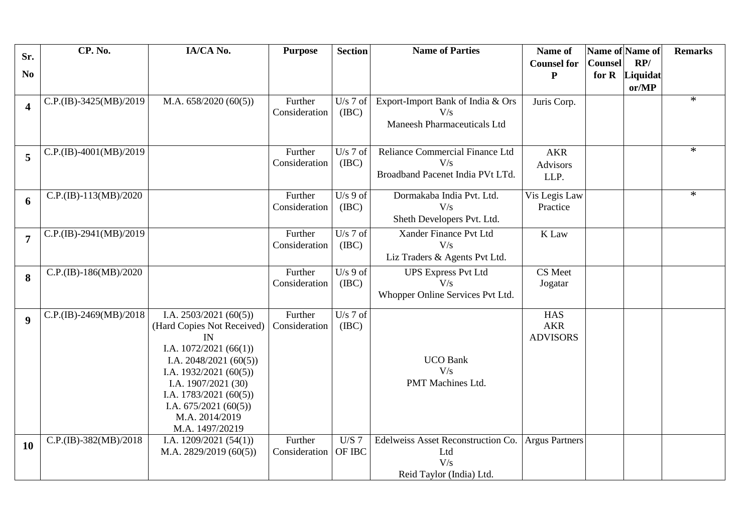| Sr.                     | CP. No.                  | IA/CA No.                                      | <b>Purpose</b>           | <b>Section</b>      | <b>Name of Parties</b>                 | Name of               | Name of Name of |          | <b>Remarks</b> |
|-------------------------|--------------------------|------------------------------------------------|--------------------------|---------------------|----------------------------------------|-----------------------|-----------------|----------|----------------|
|                         |                          |                                                |                          |                     |                                        | <b>Counsel for</b>    | <b>Counsel</b>  | RP/      |                |
| N <sub>0</sub>          |                          |                                                |                          |                     |                                        | P                     | for R           | Liquidat |                |
|                         |                          |                                                |                          |                     |                                        |                       |                 | or/MP    |                |
| $\overline{\mathbf{4}}$ | C.P.(IB)-3425(MB)/2019   | M.A. $658/2020(60(5))$                         | Further                  | $U/s$ 7 of          | Export-Import Bank of India & Ors      | Juris Corp.           |                 |          | $\ast$         |
|                         |                          |                                                | Consideration            | (IBC)               | V/s                                    |                       |                 |          |                |
|                         |                          |                                                |                          |                     | <b>Maneesh Pharmaceuticals Ltd</b>     |                       |                 |          |                |
|                         |                          |                                                |                          |                     |                                        |                       |                 |          | $\ast$         |
| 5                       | C.P.(IB)-4001(MB)/2019   |                                                | Further<br>Consideration | $U/s$ 7 of<br>(IBC) | Reliance Commercial Finance Ltd<br>V/s | <b>AKR</b>            |                 |          |                |
|                         |                          |                                                |                          |                     | Broadband Pacenet India PVt LTd.       | <b>Advisors</b>       |                 |          |                |
|                         |                          |                                                |                          |                     |                                        | LLP.                  |                 |          |                |
| 6                       | $C.P.(IB)-113(MB)/2020$  |                                                | Further                  | $U/s$ 9 of          | Dormakaba India Pvt. Ltd.              | Vis Legis Law         |                 |          | $\ast$         |
|                         |                          |                                                | Consideration            | (IBC)               | V/s                                    | Practice              |                 |          |                |
|                         |                          |                                                |                          |                     | Sheth Developers Pvt. Ltd.             |                       |                 |          |                |
| $\overline{7}$          | $C.P.(IB)-2941(MB)/2019$ |                                                | Further                  | $U/s$ 7 of          | Xander Finance Pvt Ltd                 | K Law                 |                 |          |                |
|                         |                          |                                                | Consideration            | (IBC)               | V/s                                    |                       |                 |          |                |
|                         |                          |                                                |                          |                     | Liz Traders & Agents Pvt Ltd.          |                       |                 |          |                |
| 8                       | C.P.(IB)-186(MB)/2020    |                                                | Further                  | $U/s$ 9 of          | <b>UPS Express Pvt Ltd</b>             | CS Meet               |                 |          |                |
|                         |                          |                                                | Consideration            | (IBC)               | V/s                                    | Jogatar               |                 |          |                |
|                         |                          |                                                |                          |                     | Whopper Online Services Pvt Ltd.       |                       |                 |          |                |
| $\boldsymbol{9}$        | $C.P.(IB)-2469(MB)/2018$ | I.A. $2503/2021(60(5))$                        | Further                  | $U/s$ 7 of          |                                        | <b>HAS</b>            |                 |          |                |
|                         |                          | (Hard Copies Not Received)                     | Consideration            | (IBC)               |                                        | <b>AKR</b>            |                 |          |                |
|                         |                          | IN                                             |                          |                     |                                        | <b>ADVISORS</b>       |                 |          |                |
|                         |                          | I.A. $1072/2021(66(1))$                        |                          |                     |                                        |                       |                 |          |                |
|                         |                          | I.A. $2048/2021(60(5))$                        |                          |                     | <b>UCO Bank</b><br>V/s                 |                       |                 |          |                |
|                         |                          | I.A. $1932/2021(60(5))$<br>I.A. 1907/2021 (30) |                          |                     | PMT Machines Ltd.                      |                       |                 |          |                |
|                         |                          | I.A. $1783/2021(60(5))$                        |                          |                     |                                        |                       |                 |          |                |
|                         |                          | I.A. $675/2021(60(5))$                         |                          |                     |                                        |                       |                 |          |                |
|                         |                          | M.A. 2014/2019                                 |                          |                     |                                        |                       |                 |          |                |
|                         |                          | M.A. 1497/20219                                |                          |                     |                                        |                       |                 |          |                |
| <b>10</b>               | $C.P.(IB)-382(MB)/2018$  | I.A. $1209/2021(54(1))$                        | Further                  | U/S 7               | Edelweiss Asset Reconstruction Co.     | <b>Argus Partners</b> |                 |          |                |
|                         |                          | M.A. $2829/2019(60(5))$                        | Consideration            | OF IBC              | Ltd                                    |                       |                 |          |                |
|                         |                          |                                                |                          |                     | V/s                                    |                       |                 |          |                |
|                         |                          |                                                |                          |                     | Reid Taylor (India) Ltd.               |                       |                 |          |                |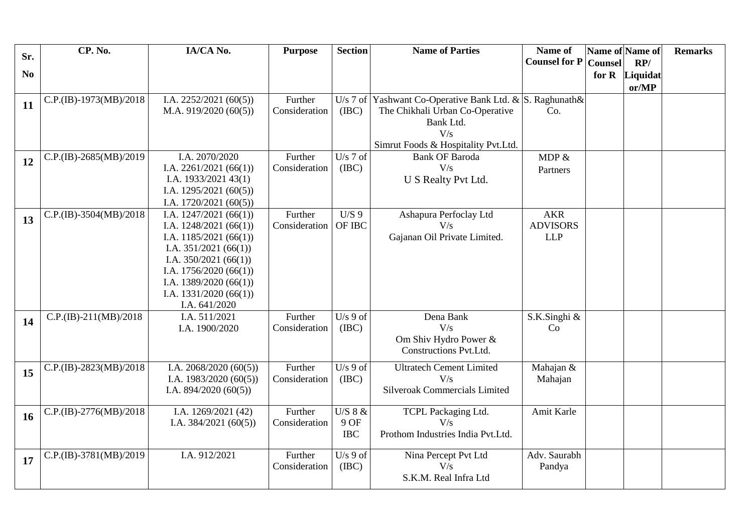| Sr.            | CP. No.                 | IA/CA No.                                          | <b>Purpose</b>           | <b>Section</b>      | <b>Name of Parties</b>                          | Name of              | Name of Name of |                       | <b>Remarks</b> |
|----------------|-------------------------|----------------------------------------------------|--------------------------|---------------------|-------------------------------------------------|----------------------|-----------------|-----------------------|----------------|
| N <sub>0</sub> |                         |                                                    |                          |                     |                                                 | <b>Counsel for P</b> | <b>Counsel</b>  | RP/<br>for R Liquidat |                |
|                |                         |                                                    |                          |                     |                                                 |                      |                 | or/MP                 |                |
| 11             | C.P.(IB)-1973(MB)/2018  | I.A. $2252/2021(60(5))$                            | Further                  | U/s 7 of $\vert$    | Yashwant Co-Operative Bank Ltd. & S. Raghunath& |                      |                 |                       |                |
|                |                         | M.A. $919/2020(60(5))$                             | Consideration            | (IBC)               | The Chikhali Urban Co-Operative                 | Co.                  |                 |                       |                |
|                |                         |                                                    |                          |                     | Bank Ltd.                                       |                      |                 |                       |                |
|                |                         |                                                    |                          |                     | V/s<br>Simrut Foods & Hospitality Pvt.Ltd.      |                      |                 |                       |                |
|                | C.P.(IB)-2685(MB)/2019  | I.A. 2070/2020                                     | Further                  | U/s $7$ of          | <b>Bank OF Baroda</b>                           | MDP $&$              |                 |                       |                |
| 12             |                         | I.A. $2261/2021(66(1))$                            | Consideration            | (IBC)               | V/s                                             | Partners             |                 |                       |                |
|                |                         | I.A. $1933/2021$ 43(1)                             |                          |                     | U S Realty Pvt Ltd.                             |                      |                 |                       |                |
|                |                         | I.A. $1295/2021(60(5))$                            |                          |                     |                                                 |                      |                 |                       |                |
|                | C.P.(IB)-3504(MB)/2018  | I.A. $1720/2021(60(5))$<br>I.A. $1247/2021(66(1))$ | Further                  | U/S9                | Ashapura Perfoclay Ltd                          | <b>AKR</b>           |                 |                       |                |
| 13             |                         | I.A. $1248/2021(66(1))$                            | Consideration            | OF IBC              | V/s                                             | <b>ADVISORS</b>      |                 |                       |                |
|                |                         | I.A. $1185/2021(66(1))$                            |                          |                     | Gajanan Oil Private Limited.                    | <b>LLP</b>           |                 |                       |                |
|                |                         | I.A. $351/2021(66(1))$                             |                          |                     |                                                 |                      |                 |                       |                |
|                |                         | I.A. $350/2021(66(1))$                             |                          |                     |                                                 |                      |                 |                       |                |
|                |                         | I.A. $1756/2020(66(1))$<br>I.A. $1389/2020(66(1))$ |                          |                     |                                                 |                      |                 |                       |                |
|                |                         | I.A. $1331/2020(66(1))$                            |                          |                     |                                                 |                      |                 |                       |                |
|                |                         | I.A. 641/2020                                      |                          |                     |                                                 |                      |                 |                       |                |
| 14             | $C.P.(IB)-211(MB)/2018$ | I.A. 511/2021                                      | Further                  | $U/s$ 9 of          | Dena Bank                                       | S.K.Singhi &         |                 |                       |                |
|                |                         | I.A. 1900/2020                                     | Consideration            | (IBC)               | V/s                                             | Co                   |                 |                       |                |
|                |                         |                                                    |                          |                     | Om Shiv Hydro Power &<br>Constructions Pvt.Ltd. |                      |                 |                       |                |
|                |                         |                                                    |                          |                     |                                                 |                      |                 |                       |                |
| 15             | C.P.(IB)-2823(MB)/2018  | I.A. $2068/2020(60(5))$<br>I.A. $1983/2020(60(5))$ | Further<br>Consideration | $U/s$ 9 of<br>(IBC) | <b>Ultratech Cement Limited</b><br>V/s          | Mahajan &<br>Mahajan |                 |                       |                |
|                |                         | I.A. $894/2020(60(5))$                             |                          |                     | <b>Silveroak Commercials Limited</b>            |                      |                 |                       |                |
|                |                         |                                                    |                          |                     |                                                 |                      |                 |                       |                |
| <b>16</b>      | C.P.(IB)-2776(MB)/2018  | I.A. 1269/2021 (42)                                | Further                  | U/S 8 &             | TCPL Packaging Ltd.                             | Amit Karle           |                 |                       |                |
|                |                         | I.A. $384/2021(60(5))$                             | Consideration            | 9 OF<br>$\rm{IBC}$  | V/s<br>Prothom Industries India Pvt.Ltd.        |                      |                 |                       |                |
|                |                         |                                                    |                          |                     |                                                 |                      |                 |                       |                |
| 17             | C.P.(IB)-3781(MB)/2019  | I.A. 912/2021                                      | Further                  | $U/s$ 9 of          | Nina Percept Pvt Ltd                            | Adv. Saurabh         |                 |                       |                |
|                |                         |                                                    | Consideration            | (IBC)               | V/s<br>S.K.M. Real Infra Ltd                    | Pandya               |                 |                       |                |
|                |                         |                                                    |                          |                     |                                                 |                      |                 |                       |                |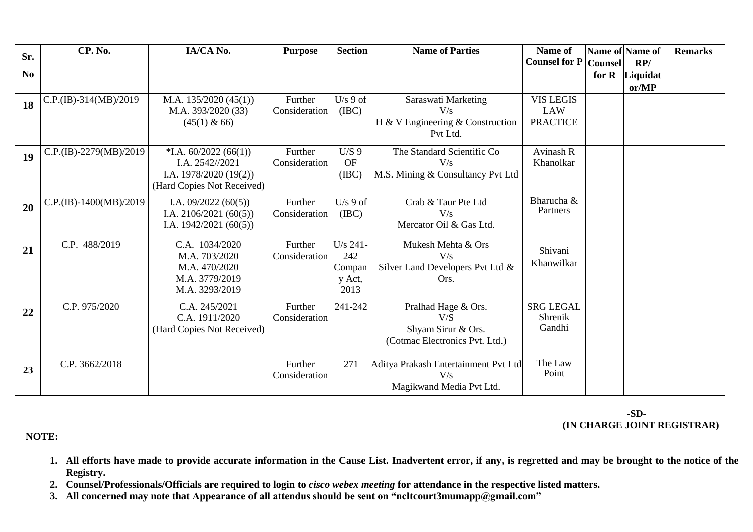| Sr.            | CP. No.                | IA/CA No.                  | <b>Purpose</b> | <b>Section</b> | <b>Name of Parties</b>               | Name of              | Name of Name of |                | <b>Remarks</b> |
|----------------|------------------------|----------------------------|----------------|----------------|--------------------------------------|----------------------|-----------------|----------------|----------------|
|                |                        |                            |                |                |                                      | <b>Counsel for P</b> | <b>Counsel</b>  | RP/            |                |
| N <sub>0</sub> |                        |                            |                |                |                                      |                      |                 | for R Liquidat |                |
|                |                        |                            |                |                |                                      |                      |                 | or/MP          |                |
| 18             | C.P.(IB)-314(MB)/2019  | M.A. $135/2020(45(1))$     | Further        | $U/s$ 9 of     | Saraswati Marketing                  | <b>VIS LEGIS</b>     |                 |                |                |
|                |                        | M.A. 393/2020 (33)         | Consideration  | (IBC)          | V/s                                  | LAW                  |                 |                |                |
|                |                        | $(45(1) \& 66)$            |                |                | H & V Engineering & Construction     | <b>PRACTICE</b>      |                 |                |                |
|                |                        |                            |                |                | Pvt Ltd.                             |                      |                 |                |                |
| 19             | C.P.(IB)-2279(MB)/2019 | $*$ I.A. 60/2022 (66(1))   | Further        | $U/S$ 9        | The Standard Scientific Co           | <b>Avinash R</b>     |                 |                |                |
|                |                        | I.A. 2542//2021            | Consideration  | <b>OF</b>      | V/s                                  | Khanolkar            |                 |                |                |
|                |                        | I.A. $1978/2020(19(2))$    |                | (IBC)          | M.S. Mining & Consultancy Pvt Ltd    |                      |                 |                |                |
|                |                        | (Hard Copies Not Received) |                |                |                                      |                      |                 |                |                |
| 20             | C.P.(IB)-1400(MB)/2019 | I.A. $09/2022(60(5))$      | Further        | $U/s$ 9 of     | Crab & Taur Pte Ltd                  | Bharucha $\&$        |                 |                |                |
|                |                        | I.A. $2106/2021(60(5))$    | Consideration  | (IBC)          | V/s                                  | Partners             |                 |                |                |
|                |                        | I.A. $1942/2021(60(5))$    |                |                | Mercator Oil & Gas Ltd.              |                      |                 |                |                |
|                | C.P. 488/2019          | C.A. 1034/2020             | Further        | U/s 241-       | Mukesh Mehta & Ors                   |                      |                 |                |                |
| 21             |                        | M.A. 703/2020              | Consideration  | 242            | V/s                                  | Shivani              |                 |                |                |
|                |                        | M.A. 470/2020              |                | Compan         | Silver Land Developers Pvt Ltd &     | Khanwilkar           |                 |                |                |
|                |                        | M.A. 3779/2019             |                | y Act,         | Ors.                                 |                      |                 |                |                |
|                |                        | M.A. 3293/2019             |                | 2013           |                                      |                      |                 |                |                |
|                | C.P. 975/2020          | C.A. 245/2021              | Further        | 241-242        | Pralhad Hage & Ors.                  | <b>SRG LEGAL</b>     |                 |                |                |
| 22             |                        | C.A. 1911/2020             | Consideration  |                | V/S                                  | Shrenik              |                 |                |                |
|                |                        | (Hard Copies Not Received) |                |                | Shyam Sirur & Ors.                   | Gandhi               |                 |                |                |
|                |                        |                            |                |                | (Cotmac Electronics Pvt. Ltd.)       |                      |                 |                |                |
|                |                        |                            |                |                |                                      |                      |                 |                |                |
| 23             | C.P. 3662/2018         |                            | Further        | 271            | Aditya Prakash Entertainment Pvt Ltd | The Law<br>Point     |                 |                |                |
|                |                        |                            | Consideration  |                | V/s                                  |                      |                 |                |                |
|                |                        |                            |                |                | Magikwand Media Pvt Ltd.             |                      |                 |                |                |

## **-SD- (IN CHARGE JOINT REGISTRAR)**

 **NOTE:** 

- **1. All efforts have made to provide accurate information in the Cause List. Inadvertent error, if any, is regretted and may be brought to the notice of the Registry.**
- **2. Counsel/Professionals/Officials are required to login to** *cisco webex meeting* **for attendance in the respective listed matters.**
- **3. All concerned may note that Appearance of all attendus should be sent on "ncltcourt3mumapp@gmail.com"**